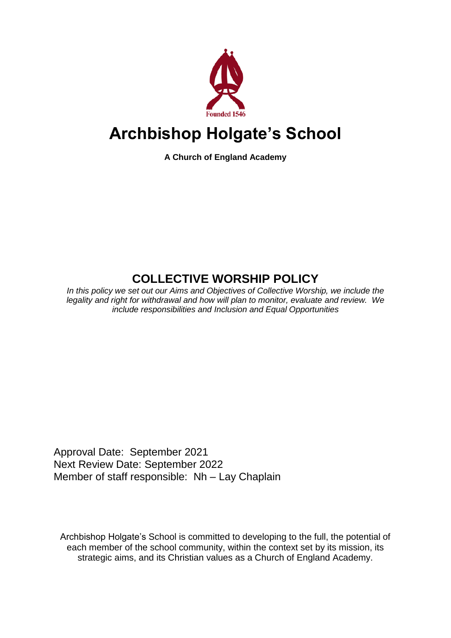

# **Archbishop Holgate's School**

**A Church of England Academy**

# **COLLECTIVE WORSHIP POLICY**

*In this policy we set out our Aims and Objectives of Collective Worship, we include the legality and right for withdrawal and how will plan to monitor, evaluate and review. We include responsibilities and Inclusion and Equal Opportunities*

Approval Date: September 2021 Next Review Date: September 2022 Member of staff responsible: Nh – Lay Chaplain

Archbishop Holgate's School is committed to developing to the full, the potential of each member of the school community, within the context set by its mission, its strategic aims, and its Christian values as a Church of England Academy.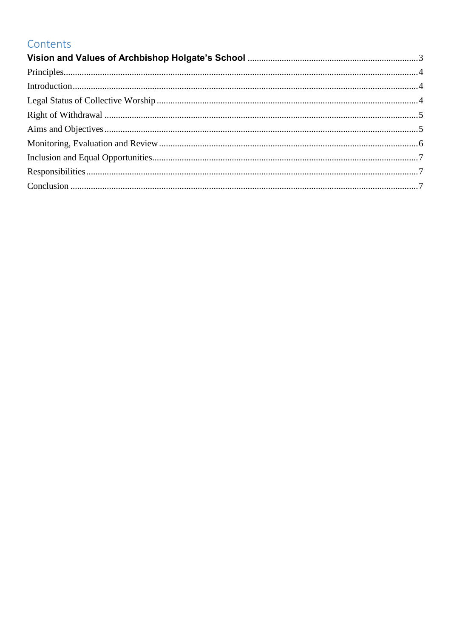# Contents

<span id="page-1-0"></span>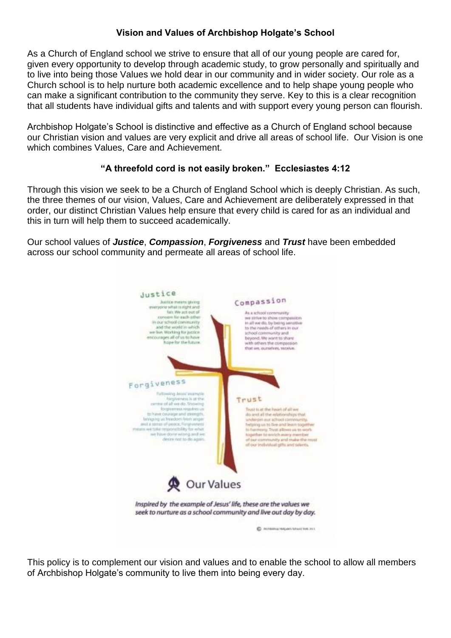#### **Vision and Values of Archbishop Holgate's School**

As a Church of England school we strive to ensure that all of our young people are cared for, given every opportunity to develop through academic study, to grow personally and spiritually and to live into being those Values we hold dear in our community and in wider society. Our role as a Church school is to help nurture both academic excellence and to help shape young people who can make a significant contribution to the community they serve. Key to this is a clear recognition that all students have individual gifts and talents and with support every young person can flourish.

Archbishop Holgate's School is distinctive and effective as a Church of England school because our Christian vision and values are very explicit and drive all areas of school life. Our Vision is one which combines Values, Care and Achievement.

#### **"A threefold cord is not easily broken." Ecclesiastes 4:12**

Through this vision we seek to be a Church of England School which is deeply Christian. As such, the three themes of our vision, Values, Care and Achievement are deliberately expressed in that order, our distinct Christian Values help ensure that every child is cared for as an individual and this in turn will help them to succeed academically.

Our school values of *Justice*, *Compassion*, *Forgiveness* and *Trust* have been embedded across our school community and permeate all areas of school life.



This policy is to complement our vision and values and to enable the school to allow all members of Archbishop Holgate's community to live them into being every day.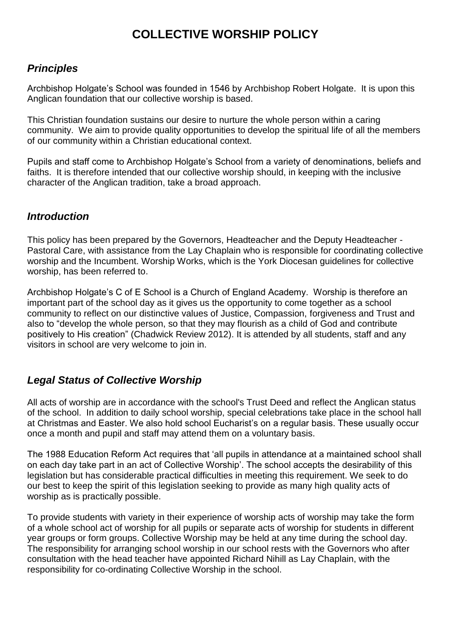# **COLLECTIVE WORSHIP POLICY**

# <span id="page-3-0"></span>*Principles*

Archbishop Holgate's School was founded in 1546 by Archbishop Robert Holgate. It is upon this Anglican foundation that our collective worship is based.

This Christian foundation sustains our desire to nurture the whole person within a caring community. We aim to provide quality opportunities to develop the spiritual life of all the members of our community within a Christian educational context.

Pupils and staff come to Archbishop Holgate's School from a variety of denominations, beliefs and faiths. It is therefore intended that our collective worship should, in keeping with the inclusive character of the Anglican tradition, take a broad approach.

#### <span id="page-3-1"></span>*Introduction*

This policy has been prepared by the Governors, Headteacher and the Deputy Headteacher - Pastoral Care, with assistance from the Lay Chaplain who is responsible for coordinating collective worship and the Incumbent. Worship Works, which is the York Diocesan guidelines for collective worship, has been referred to.

Archbishop Holgate's C of E School is a Church of England Academy. Worship is therefore an important part of the school day as it gives us the opportunity to come together as a school community to reflect on our distinctive values of Justice, Compassion, forgiveness and Trust and also to "develop the whole person, so that they may flourish as a child of God and contribute positively to His creation" (Chadwick Review 2012). It is attended by all students, staff and any visitors in school are very welcome to join in.

# <span id="page-3-2"></span>*Legal Status of Collective Worship*

All acts of worship are in accordance with the school's Trust Deed and reflect the Anglican status of the school. In addition to daily school worship, special celebrations take place in the school hall at Christmas and Easter. We also hold school Eucharist's on a regular basis. These usually occur once a month and pupil and staff may attend them on a voluntary basis.

The 1988 Education Reform Act requires that 'all pupils in attendance at a maintained school shall on each day take part in an act of Collective Worship'. The school accepts the desirability of this legislation but has considerable practical difficulties in meeting this requirement. We seek to do our best to keep the spirit of this legislation seeking to provide as many high quality acts of worship as is practically possible.

To provide students with variety in their experience of worship acts of worship may take the form of a whole school act of worship for all pupils or separate acts of worship for students in different year groups or form groups. Collective Worship may be held at any time during the school day. The responsibility for arranging school worship in our school rests with the Governors who after consultation with the head teacher have appointed Richard Nihill as Lay Chaplain, with the responsibility for co-ordinating Collective Worship in the school.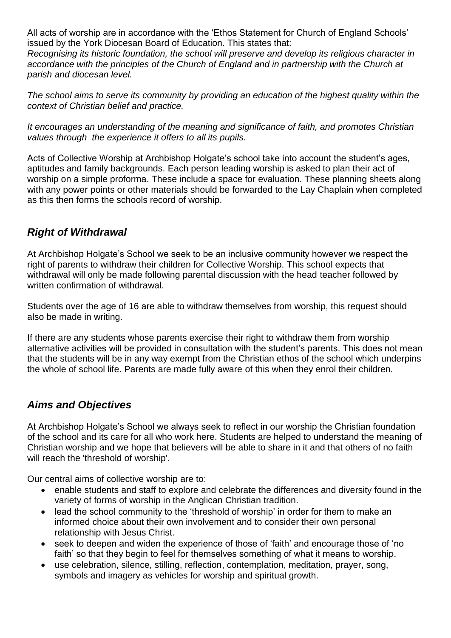All acts of worship are in accordance with the 'Ethos Statement for Church of England Schools' issued by the York Diocesan Board of Education. This states that:

*Recognising its historic foundation, the school will preserve and develop its religious character in accordance with the principles of the Church of England and in partnership with the Church at parish and diocesan level.*

*The school aims to serve its community by providing an education of the highest quality within the context of Christian belief and practice.*

*It encourages an understanding of the meaning and significance of faith, and promotes Christian values through the experience it offers to all its pupils.*

Acts of Collective Worship at Archbishop Holgate's school take into account the student's ages, aptitudes and family backgrounds. Each person leading worship is asked to plan their act of worship on a simple proforma. These include a space for evaluation. These planning sheets along with any power points or other materials should be forwarded to the Lay Chaplain when completed as this then forms the schools record of worship.

#### <span id="page-4-0"></span>*Right of Withdrawal*

At Archbishop Holgate's School we seek to be an inclusive community however we respect the right of parents to withdraw their children for Collective Worship. This school expects that withdrawal will only be made following parental discussion with the head teacher followed by written confirmation of withdrawal.

Students over the age of 16 are able to withdraw themselves from worship, this request should also be made in writing.

If there are any students whose parents exercise their right to withdraw them from worship alternative activities will be provided in consultation with the student's parents. This does not mean that the students will be in any way exempt from the Christian ethos of the school which underpins the whole of school life. Parents are made fully aware of this when they enrol their children.

# <span id="page-4-1"></span>*Aims and Objectives*

At Archbishop Holgate's School we always seek to reflect in our worship the Christian foundation of the school and its care for all who work here. Students are helped to understand the meaning of Christian worship and we hope that believers will be able to share in it and that others of no faith will reach the 'threshold of worship'.

Our central aims of collective worship are to:

- enable students and staff to explore and celebrate the differences and diversity found in the variety of forms of worship in the Anglican Christian tradition.
- lead the school community to the 'threshold of worship' in order for them to make an informed choice about their own involvement and to consider their own personal relationship with Jesus Christ.
- seek to deepen and widen the experience of those of 'faith' and encourage those of 'no faith' so that they begin to feel for themselves something of what it means to worship.
- use celebration, silence, stilling, reflection, contemplation, meditation, prayer, song, symbols and imagery as vehicles for worship and spiritual growth.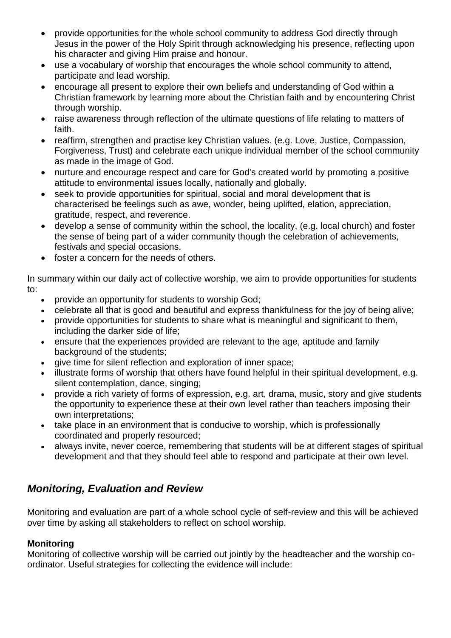- provide opportunities for the whole school community to address God directly through Jesus in the power of the Holy Spirit through acknowledging his presence, reflecting upon his character and giving Him praise and honour.
- use a vocabulary of worship that encourages the whole school community to attend, participate and lead worship.
- encourage all present to explore their own beliefs and understanding of God within a Christian framework by learning more about the Christian faith and by encountering Christ through worship.
- raise awareness through reflection of the ultimate questions of life relating to matters of faith.
- reaffirm, strengthen and practise key Christian values. (e.g. Love, Justice, Compassion, Forgiveness, Trust) and celebrate each unique individual member of the school community as made in the image of God.
- nurture and encourage respect and care for God's created world by promoting a positive attitude to environmental issues locally, nationally and globally.
- seek to provide opportunities for spiritual, social and moral development that is characterised be feelings such as awe, wonder, being uplifted, elation, appreciation, gratitude, respect, and reverence.
- develop a sense of community within the school, the locality, (e.g. local church) and foster the sense of being part of a wider community though the celebration of achievements, festivals and special occasions.
- foster a concern for the needs of others.

In summary within our daily act of collective worship, we aim to provide opportunities for students to:

- provide an opportunity for students to worship God;
- celebrate all that is good and beautiful and express thankfulness for the joy of being alive;
- provide opportunities for students to share what is meaningful and significant to them, including the darker side of life;
- ensure that the experiences provided are relevant to the age, aptitude and family background of the students;
- give time for silent reflection and exploration of inner space;
- illustrate forms of worship that others have found helpful in their spiritual development, e.g. silent contemplation, dance, singing;
- provide a rich variety of forms of expression, e.g. art, drama, music, story and give students the opportunity to experience these at their own level rather than teachers imposing their own interpretations;
- take place in an environment that is conducive to worship, which is professionally coordinated and properly resourced;
- always invite, never coerce, remembering that students will be at different stages of spiritual development and that they should feel able to respond and participate at their own level.

# <span id="page-5-0"></span>*Monitoring, Evaluation and Review*

Monitoring and evaluation are part of a whole school cycle of self-review and this will be achieved over time by asking all stakeholders to reflect on school worship.

#### **Monitoring**

Monitoring of collective worship will be carried out jointly by the headteacher and the worship coordinator. Useful strategies for collecting the evidence will include: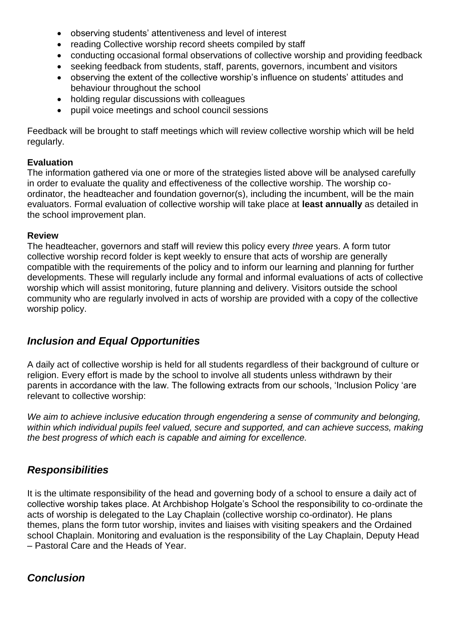- observing students' attentiveness and level of interest
- reading Collective worship record sheets compiled by staff
- conducting occasional formal observations of collective worship and providing feedback
- seeking feedback from students, staff, parents, governors, incumbent and visitors
- observing the extent of the collective worship's influence on students' attitudes and behaviour throughout the school
- holding regular discussions with colleagues
- pupil voice meetings and school council sessions

Feedback will be brought to staff meetings which will review collective worship which will be held regularly.

#### **Evaluation**

The information gathered via one or more of the strategies listed above will be analysed carefully in order to evaluate the quality and effectiveness of the collective worship. The worship coordinator, the headteacher and foundation governor(s), including the incumbent, will be the main evaluators. Formal evaluation of collective worship will take place at **least annually** as detailed in the school improvement plan.

#### **Review**

The headteacher, governors and staff will review this policy every *three* years. A form tutor collective worship record folder is kept weekly to ensure that acts of worship are generally compatible with the requirements of the policy and to inform our learning and planning for further developments. These will regularly include any formal and informal evaluations of acts of collective worship which will assist monitoring, future planning and delivery. Visitors outside the school community who are regularly involved in acts of worship are provided with a copy of the collective worship policy.

# <span id="page-6-0"></span>*Inclusion and Equal Opportunities*

A daily act of collective worship is held for all students regardless of their background of culture or religion. Every effort is made by the school to involve all students unless withdrawn by their parents in accordance with the law. The following extracts from our schools, 'Inclusion Policy 'are relevant to collective worship:

*We aim to achieve inclusive education through engendering a sense of community and belonging, within which individual pupils feel valued, secure and supported, and can achieve success, making the best progress of which each is capable and aiming for excellence.*

#### <span id="page-6-1"></span>*Responsibilities*

It is the ultimate responsibility of the head and governing body of a school to ensure a daily act of collective worship takes place. At Archbishop Holgate's School the responsibility to co-ordinate the acts of worship is delegated to the Lay Chaplain (collective worship co-ordinator). He plans themes, plans the form tutor worship, invites and liaises with visiting speakers and the Ordained school Chaplain. Monitoring and evaluation is the responsibility of the Lay Chaplain, Deputy Head – Pastoral Care and the Heads of Year.

# <span id="page-6-2"></span>*Conclusion*